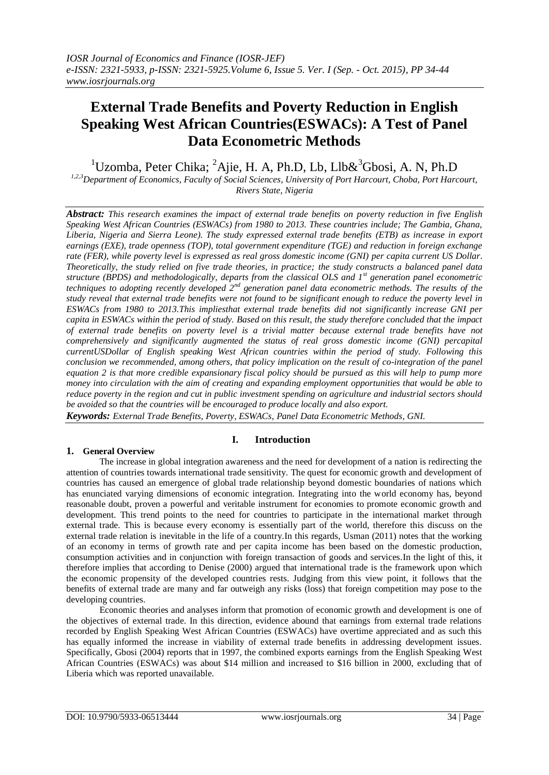# **External Trade Benefits and Poverty Reduction in English Speaking West African Countries(ESWACs): A Test of Panel Data Econometric Methods**

<sup>1</sup>Uzomba, Peter Chika; <sup>2</sup>Ajie, H. A, Ph.D, Lb, Llb $\&$ <sup>3</sup>Gbosi, A, N, Ph.D

*1,2,3Department of Economics, Faculty of Social Sciences, University of Port Harcourt, Choba, Port Harcourt, Rivers State, Nigeria*

*Abstract: This research examines the impact of external trade benefits on poverty reduction in five English Speaking West African Countries (ESWACs) from 1980 to 2013. These countries include; The Gambia, Ghana, Liberia, Nigeria and Sierra Leone). The study expressed external trade benefits (ETB) as increase in export earnings (EXE), trade openness (TOP), total government expenditure (TGE) and reduction in foreign exchange rate (FER), while poverty level is expressed as real gross domestic income (GNI) per capita current US Dollar. Theoretically, the study relied on five trade theories, in practice; the study constructs a balanced panel data structure (BPDS) and methodologically, departs from the classical OLS and 1st generation panel econometric techniques to adopting recently developed 2nd generation panel data econometric methods. The results of the study reveal that external trade benefits were not found to be significant enough to reduce the poverty level in ESWACs from 1980 to 2013.This impliesthat external trade benefits did not significantly increase GNI per capita in ESWACs within the period of study. Based on this result, the study therefore concluded that the impact of external trade benefits on poverty level is a trivial matter because external trade benefits have not comprehensively and significantly augmented the status of real gross domestic income (GNI) percapital currentUSDollar of English speaking West African countries within the period of study. Following this conclusion we recommended, among others, that policy implication on the result of co-integration of the panel equation 2 is that more credible expansionary fiscal policy should be pursued as this will help to pump more money into circulation with the aim of creating and expanding employment opportunities that would be able to reduce poverty in the region and cut in public investment spending on agriculture and industrial sectors should be avoided so that the countries will be encouraged to produce locally and also export.* 

*Keywords: External Trade Benefits, Poverty, ESWACs, Panel Data Econometric Methods, GNI.*

## **I. Introduction**

## **1. General Overview**

The increase in global integration awareness and the need for development of a nation is redirecting the attention of countries towards international trade sensitivity. The quest for economic growth and development of countries has caused an emergence of global trade relationship beyond domestic boundaries of nations which has enunciated varying dimensions of economic integration. Integrating into the world economy has, beyond reasonable doubt, proven a powerful and veritable instrument for economies to promote economic growth and development. This trend points to the need for countries to participate in the international market through external trade. This is because every economy is essentially part of the world, therefore this discuss on the external trade relation is inevitable in the life of a country.In this regards, Usman (2011) notes that the working of an economy in terms of growth rate and per capita income has been based on the domestic production, consumption activities and in conjunction with foreign transaction of goods and services.In the light of this, it therefore implies that according to Denise (2000) argued that international trade is the framework upon which the economic propensity of the developed countries rests. Judging from this view point, it follows that the benefits of external trade are many and far outweigh any risks (loss) that foreign competition may pose to the developing countries.

Economic theories and analyses inform that promotion of economic growth and development is one of the objectives of external trade. In this direction, evidence abound that earnings from external trade relations recorded by English Speaking West African Countries (ESWACs) have overtime appreciated and as such this has equally informed the increase in viability of external trade benefits in addressing development issues. Specifically, Gbosi (2004) reports that in 1997, the combined exports earnings from the English Speaking West African Countries (ESWACs) was about \$14 million and increased to \$16 billion in 2000, excluding that of Liberia which was reported unavailable.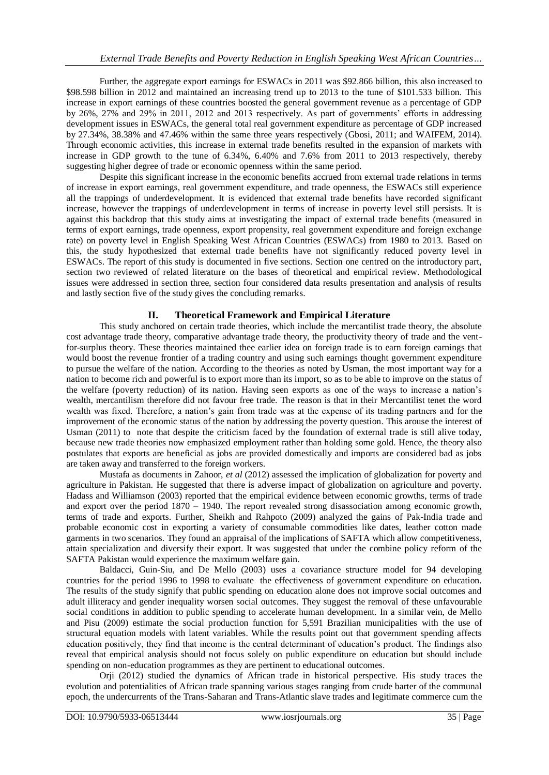Further, the aggregate export earnings for ESWACs in 2011 was \$92.866 billion, this also increased to \$98.598 billion in 2012 and maintained an increasing trend up to 2013 to the tune of \$101.533 billion. This increase in export earnings of these countries boosted the general government revenue as a percentage of GDP by 26%, 27% and 29% in 2011, 2012 and 2013 respectively. As part of governments' efforts in addressing development issues in ESWACs, the general total real government expenditure as percentage of GDP increased by 27.34%, 38.38% and 47.46% within the same three years respectively (Gbosi, 2011; and WAIFEM, 2014). Through economic activities, this increase in external trade benefits resulted in the expansion of markets with increase in GDP growth to the tune of 6.34%, 6.40% and 7.6% from 2011 to 2013 respectively, thereby suggesting higher degree of trade or economic openness within the same period.

Despite this significant increase in the economic benefits accrued from external trade relations in terms of increase in export earnings, real government expenditure, and trade openness, the ESWACs still experience all the trappings of underdevelopment. It is evidenced that external trade benefits have recorded significant increase, however the trappings of underdevelopment in terms of increase in poverty level still persists. It is against this backdrop that this study aims at investigating the impact of external trade benefits (measured in terms of export earnings, trade openness, export propensity, real government expenditure and foreign exchange rate) on poverty level in English Speaking West African Countries (ESWACs) from 1980 to 2013. Based on this, the study hypothesized that external trade benefits have not significantly reduced poverty level in ESWACs. The report of this study is documented in five sections. Section one centred on the introductory part, section two reviewed of related literature on the bases of theoretical and empirical review. Methodological issues were addressed in section three, section four considered data results presentation and analysis of results and lastly section five of the study gives the concluding remarks.

## **II. Theoretical Framework and Empirical Literature**

This study anchored on certain trade theories, which include the mercantilist trade theory, the absolute cost advantage trade theory, comparative advantage trade theory, the productivity theory of trade and the ventfor-surplus theory. These theories maintained thee earlier idea on foreign trade is to earn foreign earnings that would boost the revenue frontier of a trading country and using such earnings thought government expenditure to pursue the welfare of the nation. According to the theories as noted by Usman, the most important way for a nation to become rich and powerful is to export more than its import, so as to be able to improve on the status of the welfare (poverty reduction) of its nation. Having seen exports as one of the ways to increase a nation's wealth, mercantilism therefore did not favour free trade. The reason is that in their Mercantilist tenet the word wealth was fixed. Therefore, a nation's gain from trade was at the expense of its trading partners and for the improvement of the economic status of the nation by addressing the poverty question. This arouse the interest of Usman (2011) to note that despite the criticism faced by the foundation of external trade is still alive today, because new trade theories now emphasized employment rather than holding some gold. Hence, the theory also postulates that exports are beneficial as jobs are provided domestically and imports are considered bad as jobs are taken away and transferred to the foreign workers.

Mustafa as documents in Zahoor, *et al* (2012) assessed the implication of globalization for poverty and agriculture in Pakistan. He suggested that there is adverse impact of globalization on agriculture and poverty. Hadass and Williamson (2003) reported that the empirical evidence between economic growths, terms of trade and export over the period 1870 – 1940. The report revealed strong disassociation among economic growth, terms of trade and exports. Further, Sheikh and Rahpoto (2009) analyzed the gains of Pak-India trade and probable economic cost in exporting a variety of consumable commodities like dates, leather cotton made garments in two scenarios. They found an appraisal of the implications of SAFTA which allow competitiveness, attain specialization and diversify their export. It was suggested that under the combine policy reform of the SAFTA Pakistan would experience the maximum welfare gain.

Baldacci, Guin-Siu, and De Mello (2003) uses a covariance structure model for 94 developing countries for the period 1996 to 1998 to evaluate the effectiveness of government expenditure on education. The results of the study signify that public spending on education alone does not improve social outcomes and adult illiteracy and gender inequality worsen social outcomes. They suggest the removal of these unfavourable social conditions in addition to public spending to accelerate human development. In a similar vein, de Mello and Pisu (2009) estimate the social production function for 5,591 Brazilian municipalities with the use of structural equation models with latent variables. While the results point out that government spending affects education positively, they find that income is the central determinant of education's product. The findings also reveal that empirical analysis should not focus solely on public expenditure on education but should include spending on non-education programmes as they are pertinent to educational outcomes.

Orji (2012) studied the dynamics of African trade in historical perspective. His study traces the evolution and potentialities of African trade spanning various stages ranging from crude barter of the communal epoch, the undercurrents of the Trans-Saharan and Trans-Atlantic slave trades and legitimate commerce cum the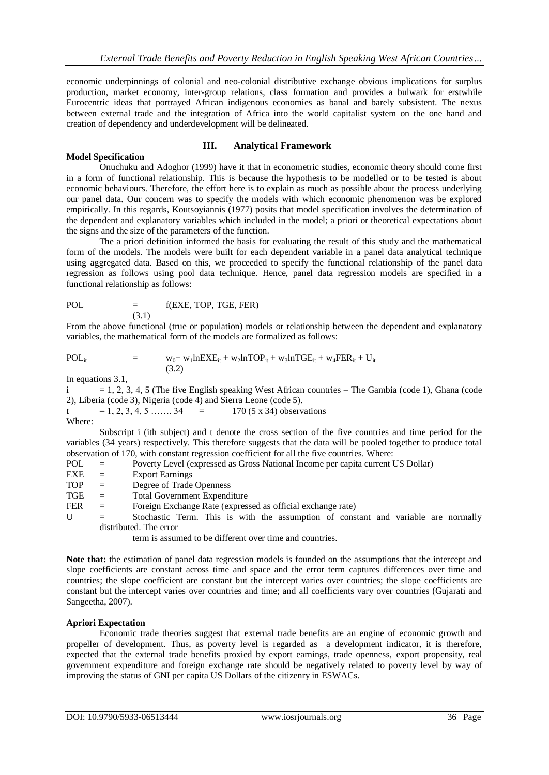economic underpinnings of colonial and neo-colonial distributive exchange obvious implications for surplus production, market economy, inter-group relations, class formation and provides a bulwark for erstwhile Eurocentric ideas that portrayed African indigenous economies as banal and barely subsistent. The nexus between external trade and the integration of Africa into the world capitalist system on the one hand and creation of dependency and underdevelopment will be delineated.

## **III. Analytical Framework**

#### **Model Specification**

Onuchuku and Adoghor (1999) have it that in econometric studies, economic theory should come first in a form of functional relationship. This is because the hypothesis to be modelled or to be tested is about economic behaviours. Therefore, the effort here is to explain as much as possible about the process underlying our panel data. Our concern was to specify the models with which economic phenomenon was be explored empirically. In this regards, Koutsoyiannis (1977) posits that model specification involves the determination of the dependent and explanatory variables which included in the model; a priori or theoretical expectations about the signs and the size of the parameters of the function.

The a priori definition informed the basis for evaluating the result of this study and the mathematical form of the models. The models were built for each dependent variable in a panel data analytical technique using aggregated data. Based on this, we proceeded to specify the functional relationship of the panel data regression as follows using pool data technique. Hence, panel data regression models are specified in a functional relationship as follows:

 $POL = f(EXE, TOP, TGE, FER)$ (3.1)

From the above functional (true or population) models or relationship between the dependent and explanatory variables, the mathematical form of the models are formalized as follows:

$$
POLit = w0+w1lnEXEit + w2lnTOPit + w3lnTGEit + w4FERit + Uit
$$
\n(3.2)

In equations 3.1,

 $i = 1, 2, 3, 4, 5$  (The five English speaking West African countries – The Gambia (code 1), Ghana (code 2), Liberia (code 3), Nigeria (code 4) and Sierra Leone (code 5).

t = 1, 2, 3, 4, 5 … . 34 = 170 (5 x 34) observations Where:

Subscript i (ith subject) and t denote the cross section of the five countries and time period for the variables (34 years) respectively. This therefore suggests that the data will be pooled together to produce total observation of 170, with constant regression coefficient for all the five countries. Where:

- POL = Poverty Level (expressed as Gross National Income per capita current US Dollar)
- EXE = Export Earnings
- TOP = Degree of Trade Openness
- TGE = Total Government Expenditure
- FER = Foreign Exchange Rate (expressed as official exchange rate)
- U = Stochastic Term. This is with the assumption of constant and variable are normally distributed. The error

term is assumed to be different over time and countries.

**Note that:** the estimation of panel data regression models is founded on the assumptions that the intercept and slope coefficients are constant across time and space and the error term captures differences over time and countries; the slope coefficient are constant but the intercept varies over countries; the slope coefficients are constant but the intercept varies over countries and time; and all coefficients vary over countries (Gujarati and Sangeetha, 2007).

### **Apriori Expectation**

Economic trade theories suggest that external trade benefits are an engine of economic growth and propeller of development. Thus, as poverty level is regarded as a development indicator, it is therefore, expected that the external trade benefits proxied by export earnings, trade openness, export propensity, real government expenditure and foreign exchange rate should be negatively related to poverty level by way of improving the status of GNI per capita US Dollars of the citizenry in ESWACs.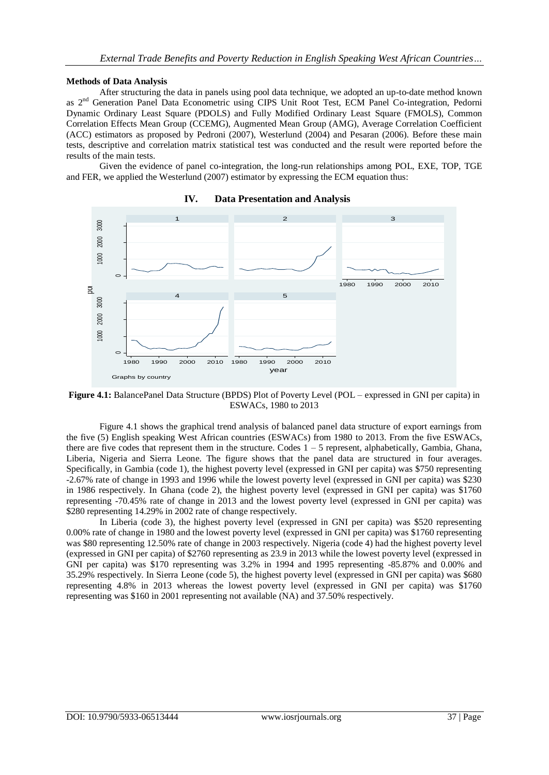#### **Methods of Data Analysis**

After structuring the data in panels using pool data technique, we adopted an up-to-date method known as 2<sup>nd</sup> Generation Panel Data Econometric using CIPS Unit Root Test, ECM Panel Co-integration, Pedorni Dynamic Ordinary Least Square (PDOLS) and Fully Modified Ordinary Least Square (FMOLS), Common Correlation Effects Mean Group (CCEMG), Augmented Mean Group (AMG), Average Correlation Coefficient (ACC) estimators as proposed by Pedroni (2007), Westerlund (2004) and Pesaran (2006). Before these main tests, descriptive and correlation matrix statistical test was conducted and the result were reported before the results of the main tests.

Given the evidence of panel co-integration, the long-run relationships among POL, EXE, TOP, TGE and FER, we applied the Westerlund (2007) estimator by expressing the ECM equation thus:



### **IV. Data Presentation and Analysis**

**Figure 4.1:** BalancePanel Data Structure (BPDS) Plot of Poverty Level (POL – expressed in GNI per capita) in ESWACs, 1980 to 2013

Figure 4.1 shows the graphical trend analysis of balanced panel data structure of export earnings from the five (5) English speaking West African countries (ESWACs) from 1980 to 2013. From the five ESWACs, there are five codes that represent them in the structure. Codes 1 – 5 represent, alphabetically, Gambia, Ghana, Liberia, Nigeria and Sierra Leone. The figure shows that the panel data are structured in four averages. Specifically, in Gambia (code 1), the highest poverty level (expressed in GNI per capita) was \$750 representing -2.67% rate of change in 1993 and 1996 while the lowest poverty level (expressed in GNI per capita) was \$230 in 1986 respectively. In Ghana (code 2), the highest poverty level (expressed in GNI per capita) was \$1760 representing -70.45% rate of change in 2013 and the lowest poverty level (expressed in GNI per capita) was \$280 representing 14.29% in 2002 rate of change respectively.

In Liberia (code 3), the highest poverty level (expressed in GNI per capita) was \$520 representing 0.00% rate of change in 1980 and the lowest poverty level (expressed in GNI per capita) was \$1760 representing was \$80 representing 12.50% rate of change in 2003 respectively. Nigeria (code 4) had the highest poverty level (expressed in GNI per capita) of \$2760 representing as 23.9 in 2013 while the lowest poverty level (expressed in GNI per capita) was \$170 representing was 3.2% in 1994 and 1995 representing -85.87% and 0.00% and 35.29% respectively. In Sierra Leone (code 5), the highest poverty level (expressed in GNI per capita) was \$680 representing 4.8% in 2013 whereas the lowest poverty level (expressed in GNI per capita) was \$1760 representing was \$160 in 2001 representing not available (NA) and 37.50% respectively.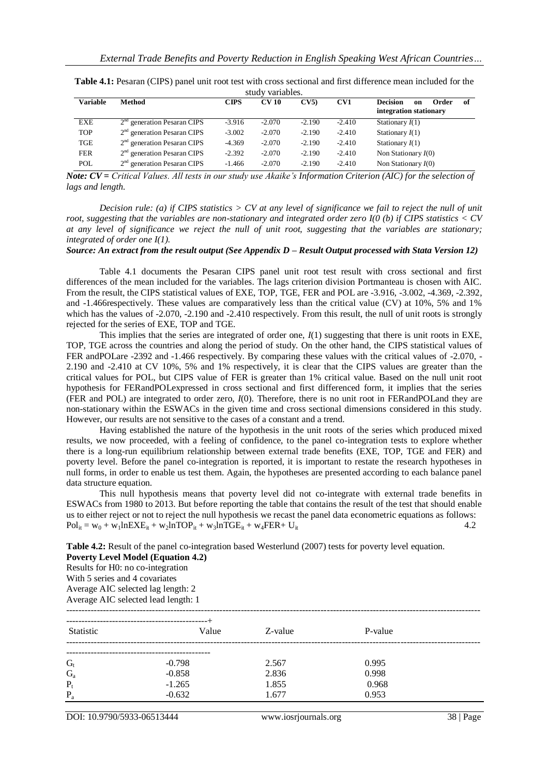| Variable   | Method                        | CIPS     | <b>CV 10</b> | CV5      | CV1      | <b>Decision</b><br>Order<br>of<br>on<br>integration stationary |
|------------|-------------------------------|----------|--------------|----------|----------|----------------------------------------------------------------|
| EXE        | $2nd$ generation Pesaran CIPS | $-3.916$ | $-2.070$     | $-2.190$ | $-2.410$ | Stationary $I(1)$                                              |
| <b>TOP</b> | $2nd$ generation Pesaran CIPS | $-3.002$ | $-2.070$     | $-2.190$ | $-2.410$ | Stationary $I(1)$                                              |
| TGE        | $2nd$ generation Pesaran CIPS | $-4.369$ | $-2.070$     | $-2.190$ | $-2.410$ | Stationary $I(1)$                                              |
| <b>FER</b> | $2nd$ generation Pesaran CIPS | $-2.392$ | $-2.070$     | $-2.190$ | $-2.410$ | Non Stationary $I(0)$                                          |
| POL        | $2nd$ generation Pesaran CIPS | $-1.466$ | $-2.070$     | $-2.190$ | $-2.410$ | Non Stationary $I(0)$                                          |

**Table 4.1:** Pesaran (CIPS) panel unit root test with cross sectional and first difference mean included for the study variables.

*Note: CV = Critical Values. All tests in our study use Akaike's Information Criterion (AIC) for the selection of lags and length.*

*Decision rule: (a) if CIPS statistics > CV at any level of significance we fail to reject the null of unit root, suggesting that the variables are non-stationary and integrated order zero I(0 (b) if CIPS statistics < CV at any level of significance we reject the null of unit root, suggesting that the variables are stationary; integrated of order one I(1).*

*Source: An extract from the result output (See Appendix D – Result Output processed with Stata Version 12)*

Table 4.1 documents the Pesaran CIPS panel unit root test result with cross sectional and first differences of the mean included for the variables. The lags criterion division Portmanteau is chosen with AIC. From the result, the CIPS statistical values of EXE, TOP, TGE, FER and POL are -3.916, -3.002, -4.369, -2.392, and -1.466respectively. These values are comparatively less than the critical value (CV) at 10%, 5% and 1% which has the values of -2.070, -2.190 and -2.410 respectively. From this result, the null of unit roots is strongly rejected for the series of EXE, TOP and TGE.

This implies that the series are integrated of order one, *I*(1) suggesting that there is unit roots in EXE, TOP, TGE across the countries and along the period of study. On the other hand, the CIPS statistical values of FER andPOLare -2392 and -1.466 respectively. By comparing these values with the critical values of -2.070, - 2.190 and -2.410 at CV 10%, 5% and 1% respectively, it is clear that the CIPS values are greater than the critical values for POL, but CIPS value of FER is greater than 1% critical value. Based on the null unit root hypothesis for FERandPOLexpressed in cross sectional and first differenced form, it implies that the series (FER and POL) are integrated to order zero, *I*(0). Therefore, there is no unit root in FERandPOLand they are non-stationary within the ESWACs in the given time and cross sectional dimensions considered in this study. However, our results are not sensitive to the cases of a constant and a trend.

Having established the nature of the hypothesis in the unit roots of the series which produced mixed results, we now proceeded, with a feeling of confidence, to the panel co-integration tests to explore whether there is a long-run equilibrium relationship between external trade benefits (EXE, TOP, TGE and FER) and poverty level. Before the panel co-integration is reported, it is important to restate the research hypotheses in null forms, in order to enable us test them. Again, the hypotheses are presented according to each balance panel data structure equation.

This null hypothesis means that poverty level did not co-integrate with external trade benefits in ESWACs from 1980 to 2013. But before reporting the table that contains the result of the test that should enable us to either reject or not to reject the null hypothesis we recast the panel data econometric equations as follows:  $Pol_{it} = w_0 + w_1 In EXE_{it} + w_2 In TOP_{it} + w_3 InTOE_{it} + w_4 FER + U_{it}$  4.2

**Table 4.2:** Result of the panel co-integration based Westerlund (2007) tests for poverty level equation.

**Poverty Level Model (Equation 4.2)** Results for H0: no co-integration With 5 series and 4 covariates Average AIC selected lag length: 2

Average AIC selected lead length: 1

| Statistic | Value    | Z-value | P-value |  |
|-----------|----------|---------|---------|--|
|           |          |         |         |  |
| $G_t$     | $-0.798$ | 2.567   | 0.995   |  |
| $G_{a}$   | $-0.858$ | 2.836   | 0.998   |  |
| $P_t$     | $-1.265$ | 1.855   | 0.968   |  |
| $P_{a}$   | $-0.632$ | 1.677   | 0.953   |  |
|           |          |         |         |  |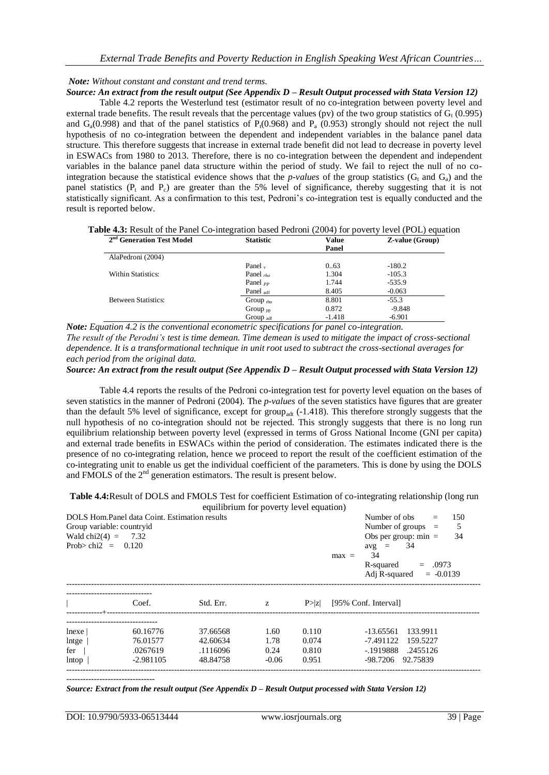## *Note: Without constant and constant and trend terms.*

*Source: An extract from the result output (See Appendix D – Result Output processed with Stata Version 12)*

Table 4.2 reports the Westerlund test (estimator result of no co-integration between poverty level and external trade benefits. The result reveals that the percentage values (pv) of the two group statistics of  $G_t$  (0.995) and  $G_a(0.998)$  and that of the panel statistics of P<sub>t</sub> $(0.968)$  and P<sub>a</sub>  $(0.953)$  strongly should not reject the null hypothesis of no co-integration between the dependent and independent variables in the balance panel data structure. This therefore suggests that increase in external trade benefit did not lead to decrease in poverty level in ESWACs from 1980 to 2013. Therefore, there is no co-integration between the dependent and independent variables in the balance panel data structure within the period of study. We fail to reject the null of no cointegration because the statistical evidence shows that the *p-values* of the group statistics ( $G_t$  and  $G_a$ ) and the panel statistics (P<sub>t</sub> and P<sub>c</sub>) are greater than the 5% level of significance, thereby suggesting that it is not statistically significant. As a confirmation to this test, Pedroni's co-integration test is equally conducted and the result is reported below.

**Table 4.3:** Result of the Panel Co-integration based Pedroni (2004) for poverty level (POL) equation

| 2 <sup>nd</sup> Generation Test Model | <b>Statistic</b>      | Value    | <b>Z-value (Group)</b> |
|---------------------------------------|-----------------------|----------|------------------------|
|                                       |                       | Panel    |                        |
| AlaPedroni (2004)                     |                       |          |                        |
|                                       | Panel $\mathbf{v}$    | 0.63     | $-180.2$               |
| Within Statistics:                    | Panel $_{rho}$        | 1.304    | $-105.3$               |
|                                       | Panel $_{PP}$         | 1.744    | $-535.9$               |
|                                       | Panel <sub>adf</sub>  | 8.405    | $-0.063$               |
| <b>Between Statistics:</b>            | Group $_{\text{rho}}$ | 8.801    | $-55.3$                |
|                                       | Group $_{\text{DD}}$  | 0.872    | $-9.848$               |
|                                       | Group $_{\text{adf}}$ | $-1.418$ | $-6.901$               |

*Note: Equation 4.2 is the conventional econometric specifications for panel co-integration. The result of the Perodni's test is time demean. Time demean is used to mitigate the impact of cross-sectional dependence. It is a transformational technique in unit root used to subtract the cross-sectional averages for each period from the original data.*

*Source: An extract from the result output (See Appendix D – Result Output processed with Stata Version 12)*

Table 4.4 reports the results of the Pedroni co-integration test for poverty level equation on the bases of seven statistics in the manner of Pedroni (2004). The *p-values* of the seven statistics have figures that are greater than the default 5% level of significance, except for group<sub>adt</sub> (-1.418). This therefore strongly suggests that the null hypothesis of no co-integration should not be rejected. This strongly suggests that there is no long run equilibrium relationship between poverty level (expressed in terms of Gross National Income (GNI per capita) and external trade benefits in ESWACs within the period of consideration. The estimates indicated there is the presence of no co-integrating relation, hence we proceed to report the result of the coefficient estimation of the co-integrating unit to enable us get the individual coefficient of the parameters. This is done by using the DOLS and FMOLS of the  $2<sup>nd</sup>$  generation estimators. The result is present below.

**Table 4.4:**Result of DOLS and FMOLS Test for coefficient Estimation of co-integrating relationship (long run

|                                            |                                                                            | equilibrium for poverty level equation)      |                                 |                                  |                                                                                                                                                                                    |
|--------------------------------------------|----------------------------------------------------------------------------|----------------------------------------------|---------------------------------|----------------------------------|------------------------------------------------------------------------------------------------------------------------------------------------------------------------------------|
| Wald chi2(4) = 7.32<br>Prob>chi2 = $0.120$ | DOLS Hom Panel data Coint. Estimation results<br>Group variable: countryid |                                              |                                 |                                  | Number of obs<br>150<br>$=$<br>Number of groups $=$<br>- 5<br>Obs per group: $min =$<br>34<br>34<br>$avg =$<br>34<br>$max =$<br>.0973<br>R-squared<br>Adj R-squared<br>$= -0.0139$ |
|                                            | Coef.                                                                      | Std. Err.                                    | z                               | P >  z                           | [95% Conf. Interval]                                                                                                                                                               |
| $ n$ exe<br>lntge<br>fer<br>lntop          | 60.16776<br>76.01577<br>.0267619<br>$-2.981105$                            | 37.66568<br>42.60634<br>.1116096<br>48.84758 | 1.60<br>1.78<br>0.24<br>$-0.06$ | 0.110<br>0.074<br>0.810<br>0.951 | $-13.65561$<br>133.9911<br>-7.491122<br>159.5227<br>-.1919888<br>.2455126<br>92.75839<br>-98.7206                                                                                  |

*Source: Extract from the result output (See Appendix D – Result Output processed with Stata Version 12)*

--------------------------------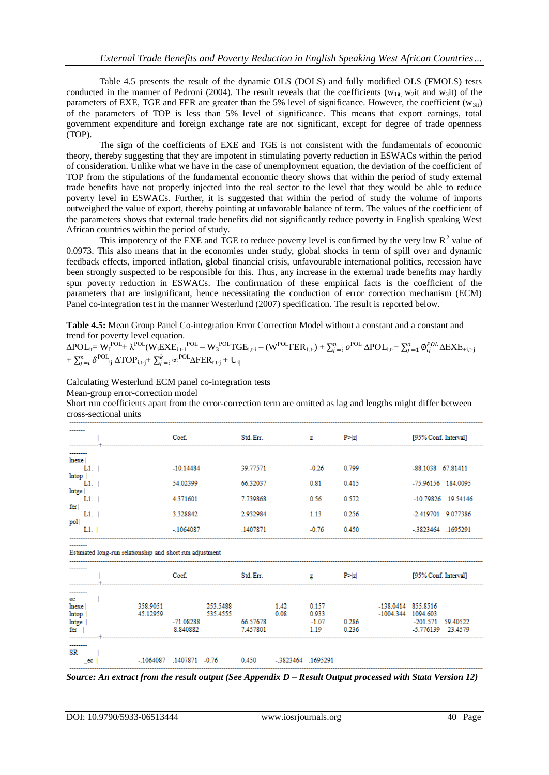Table 4.5 presents the result of the dynamic OLS (DOLS) and fully modified OLS (FMOLS) tests conducted in the manner of Pedroni (2004). The result reveals that the coefficients ( $w_{1it}$ ,  $w_2$ it and  $w_3$ it) of the parameters of EXE, TGE and FER are greater than the 5% level of significance. However, the coefficient ( $w_{3i}$ ) of the parameters of TOP is less than 5% level of significance. This means that export earnings, total government expenditure and foreign exchange rate are not significant, except for degree of trade openness (TOP).

The sign of the coefficients of EXE and TGE is not consistent with the fundamentals of economic theory, thereby suggesting that they are impotent in stimulating poverty reduction in ESWACs within the period of consideration. Unlike what we have in the case of unemployment equation, the deviation of the coefficient of TOP from the stipulations of the fundamental economic theory shows that within the period of study external trade benefits have not properly injected into the real sector to the level that they would be able to reduce poverty level in ESWACs. Further, it is suggested that within the period of study the volume of imports outweighed the value of export, thereby pointing at unfavorable balance of term. The values of the coefficient of the parameters shows that external trade benefits did not significantly reduce poverty in English speaking West African countries within the period of study.

This impotency of the EXE and TGE to reduce poverty level is confirmed by the very low  $R^2$  value of 0.0973. This also means that in the economies under study, global shocks in term of spill over and dynamic feedback effects, imported inflation, global financial crisis, unfavourable international politics, recession have been strongly suspected to be responsible for this. Thus, any increase in the external trade benefits may hardly spur poverty reduction in ESWACs. The confirmation of these empirical facts is the coefficient of the parameters that are insignificant, hence necessitating the conduction of error correction mechanism (ECM) Panel co-integration test in the manner Westerlund (2007) specification. The result is reported below.

**Table 4.5:** Mean Group Panel Co-integration Error Correction Model without a constant and a constant and trend for poverty level equation.

 $\Delta \text{POL}_{\text{it}} = \text{W}_{\text{I}}^{\text{POL}} + \lambda^{\text{POL}}(\text{W}_{\text{i}}\text{EX}\text{E}_{\text{i},\text{t-1}}^{\text{POL}} - \text{W}_{\text{3}}^{\text{POL}}\text{T}\text{GE}_{\text{i},\text{t-i}} - (\text{W}^{\text{POL}}\text{FER}_{\text{1},\text{t}}) + \sum_{j=i}^{n} o^{\text{POL}}\Delta \text{POL}_{\text{i},\text{t}} + \sum_{j=1}^{a} \text{\O{}}_{ij}^{\text{POL}}\Delta \text{EX}\text{E}_{\text{+i},\text{t-j}}$  $+ \sum_{j=i}^n \delta^{\mathrm{POL}}_{\mathbf{ij}} \, \Delta \mathrm{TOP}_{\mathrm{i},\mathbf{t}\text{-}\mathbf{j}} + \sum_{j=i}^k \infty^{\mathrm{POL}} \Delta \mathrm{FER}_{\mathbf{t},\mathbf{t}\text{-}\mathbf{j}} + \mathrm{U}_{\mathrm{ij}}$ 

Calculating Westerlund ECM panel co-integration tests Mean-group error-correction model

Short run coefficients apart from the error-correction term are omitted as lag and lengths might differ between cross-sectional units

| --------            | Coef.       | Std. Err. | z       | P >  z | [95% Conf. Interval]  |
|---------------------|-------------|-----------|---------|--------|-----------------------|
| ---------           |             |           |         |        |                       |
| lnexe<br>L1.        | $-10.14484$ | 39.77571  | $-0.26$ | 0.799  | -88.1038 67.81411     |
| <b>Intop</b><br>L1  | 54.02399    | 66.32037  | 0.81    | 0.415  | -75.96156 184.0095    |
| lntge<br>L1.<br>fer | 4.371601    | 7.739868  | 0.56    | 0.572  | -10.79826 19.54146    |
| L1.<br>pol          | 3.328842    | 2.932984  | 1.13    | 0.256  | -2.419701 9.077386    |
| L1.                 | $-1064087$  | 1407871   | $-0.76$ | 0.450  | 1695291<br>$-3823464$ |

| ---------                                                |                      | Coef.                        |                      | Std. Err.            |                    | ۰                                 | P >  z         |                                   | [95% Conf. Interval]                               |  |
|----------------------------------------------------------|----------------------|------------------------------|----------------------|----------------------|--------------------|-----------------------------------|----------------|-----------------------------------|----------------------------------------------------|--|
| ---------<br>ec<br>lnexe<br>lntop<br><b>Intge</b><br>fer | 358.9051<br>45.12959 | $-71.08288$<br>8.840882      | 253.5488<br>535.4555 | 66.57678<br>7.457801 | 1.42<br>0.08       | 0.157<br>0.933<br>$-1.07$<br>1.19 | 0.286<br>0.236 | -138.0414 855.8516<br>$-1004.344$ | 1094.603<br>-201.571 59.40522<br>-5.776139 23.4579 |  |
| ---------<br>SR.<br>ec                                   |                      | $-1064087$ $1407871$ $-0.76$ |                      | 0.450                | -.3823464 .1695291 |                                   |                |                                   |                                                    |  |

*Source: An extract from the result output (See Appendix D – Result Output processed with Stata Version 12)*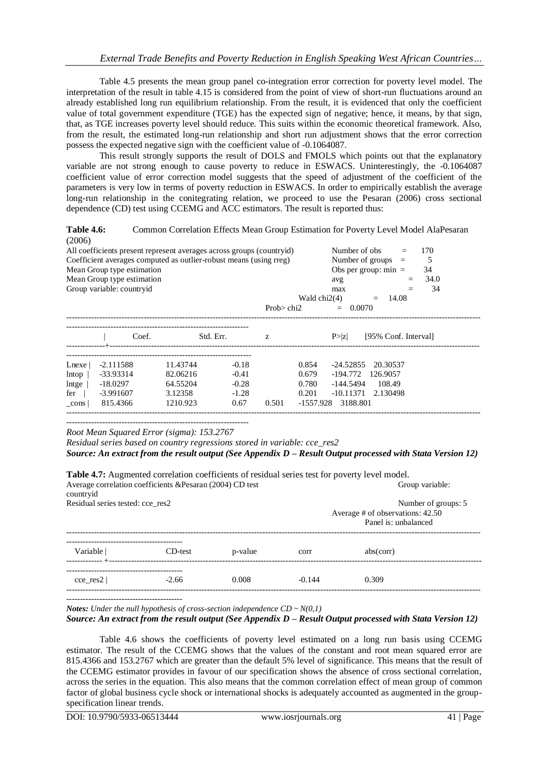Table 4.5 presents the mean group panel co-integration error correction for poverty level model. The interpretation of the result in table 4.15 is considered from the point of view of short-run fluctuations around an already established long run equilibrium relationship. From the result, it is evidenced that only the coefficient value of total government expenditure (TGE) has the expected sign of negative; hence, it means, by that sign, that, as TGE increases poverty level should reduce. This suits within the economic theoretical framework. Also, from the result, the estimated long-run relationship and short run adjustment shows that the error correction possess the expected negative sign with the coefficient value of -0.1064087.

This result strongly supports the result of DOLS and FMOLS which points out that the explanatory variable are not strong enough to cause poverty to reduce in ESWACS. Uninterestingly, the -0.1064087 coefficient value of error correction model suggests that the speed of adjustment of the coefficient of the parameters is very low in terms of poverty reduction in ESWACS. In order to empirically establish the average long-run relationship in the conitegrating relation, we proceed to use the Pesaran (2006) cross sectional dependence (CD) test using CCEMG and ACC estimators. The result is reported thus:

Table 4.6: Common Correlation Effects Mean Group Estimation for Poverty Level Model AlaPesaran (2006)

| All coefficients present represent averages across groups (countryid)<br>Coefficient averages computed as outlier-robust means (using rreg)<br>Mean Group type estimation<br>Mean Group type estimation |                                                                 |                                                         |                                                  |                                |                                                 | Number of obs<br>avg                                            | Number of groups $=$<br>Obs per group: $min =$ |  | 170<br>34<br>34.0 |
|---------------------------------------------------------------------------------------------------------------------------------------------------------------------------------------------------------|-----------------------------------------------------------------|---------------------------------------------------------|--------------------------------------------------|--------------------------------|-------------------------------------------------|-----------------------------------------------------------------|------------------------------------------------|--|-------------------|
|                                                                                                                                                                                                         | Group variable: countryid                                       |                                                         |                                                  |                                | 34<br>max                                       |                                                                 |                                                |  |                   |
|                                                                                                                                                                                                         |                                                                 |                                                         |                                                  | Wald $chi2(4)$<br>14.08<br>$=$ |                                                 |                                                                 |                                                |  |                   |
|                                                                                                                                                                                                         |                                                                 |                                                         |                                                  | Prob $>$ chi2                  |                                                 | $= 0.0070$                                                      |                                                |  |                   |
|                                                                                                                                                                                                         | Coef.                                                           | Std. Err.                                               |                                                  | Z.                             |                                                 | P >  z                                                          | [95% Conf. Interval]                           |  |                   |
| Lnexe<br>lntop<br>lntge<br>fer<br>cons                                                                                                                                                                  | $-2.111588$<br>-33.93314<br>$-18.0297$<br>-3.991607<br>815.4366 | 11.43744<br>82.06216<br>64.55204<br>3.12358<br>1210.923 | $-0.18$<br>$-0.41$<br>$-0.28$<br>$-1.28$<br>0.67 | 0.501                          | 0.854<br>0.679<br>0.780<br>0.201<br>$-1557.928$ | $-24.52855$<br>-194.772<br>-144.5494<br>$-10.11371$<br>3188.801 | 20.30537<br>126.9057<br>108.49<br>2.130498     |  |                   |

------------------------------------------------------------------ *Root Mean Squared Error (sigma): 153.2767*

*Residual series based on country regressions stored in variable: cce\_res2 Source: An extract from the result output (See Appendix D – Result Output processed with Stata Version 12)*

| countryid                        | <b>Table 4.7:</b> Augmented correlation coefficients of residual series test for poverty level model.<br>Average correlation coefficients & Pesaran (2004) CD test |         | Group variable: |                                                                                 |  |
|----------------------------------|--------------------------------------------------------------------------------------------------------------------------------------------------------------------|---------|-----------------|---------------------------------------------------------------------------------|--|
| Residual series tested: cce_res2 |                                                                                                                                                                    |         |                 | Number of groups: 5<br>Average # of observations: 42.50<br>Panel is: unbalanced |  |
| Variable  <br>------------- +-   | CD-test                                                                                                                                                            | p-value | corr            | abs(corr)                                                                       |  |
| $\cce$ res2                      | $-2.66$                                                                                                                                                            | 0.008   | $-0.144$        | 0.309                                                                           |  |

------------------------------------------

*Notes: Under the null hypothesis of cross-section independence*  $CD \sim N(0,1)$ 

## *Source: An extract from the result output (See Appendix D – Result Output processed with Stata Version 12)*

Table 4.6 shows the coefficients of poverty level estimated on a long run basis using CCEMG estimator. The result of the CCEMG shows that the values of the constant and root mean squared error are 815.4366 and 153.2767 which are greater than the default 5% level of significance. This means that the result of the CCEMG estimator provides in favour of our specification shows the absence of cross sectional correlation, across the series in the equation. This also means that the common correlation effect of mean group of common factor of global business cycle shock or international shocks is adequately accounted as augmented in the groupspecification linear trends.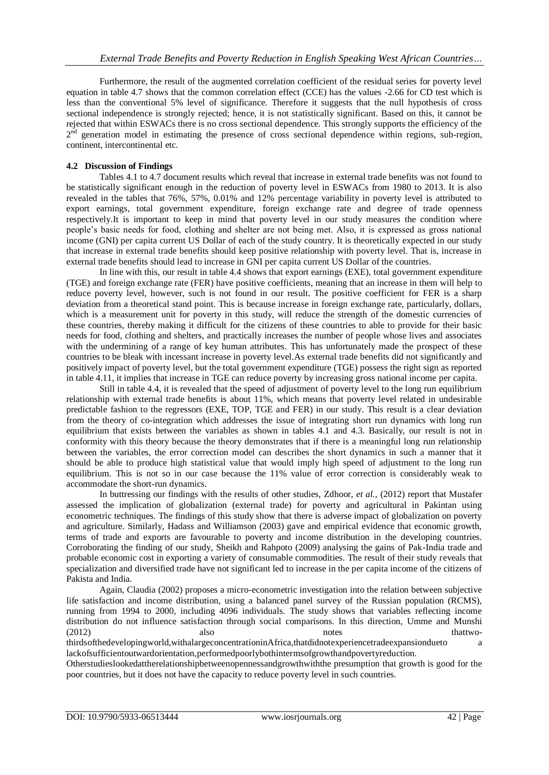Furthermore, the result of the augmented correlation coefficient of the residual series for poverty level equation in table 4.7 shows that the common correlation effect (CCE) has the values -2.66 for CD test which is less than the conventional 5% level of significance. Therefore it suggests that the null hypothesis of cross sectional independence is strongly rejected; hence, it is not statistically significant. Based on this, it cannot be rejected that within ESWACs there is no cross sectional dependence. This strongly supports the efficiency of the 2<sup>nd</sup> generation model in estimating the presence of cross sectional dependence within regions, sub-region, continent, intercontinental etc.

## **4.2 Discussion of Findings**

Tables 4.1 to 4.7 document results which reveal that increase in external trade benefits was not found to be statistically significant enough in the reduction of poverty level in ESWACs from 1980 to 2013. It is also revealed in the tables that 76%, 57%, 0.01% and 12% percentage variability in poverty level is attributed to export earnings, total government expenditure, foreign exchange rate and degree of trade openness respectively.It is important to keep in mind that poverty level in our study measures the condition where people's basic needs for food, clothing and shelter are not being met. Also, it is expressed as gross national income (GNI) per capita current US Dollar of each of the study country. It is theoretically expected in our study that increase in external trade benefits should keep positive relationship with poverty level. That is, increase in external trade benefits should lead to increase in GNI per capita current US Dollar of the countries.

In line with this, our result in table 4.4 shows that export earnings (EXE), total government expenditure (TGE) and foreign exchange rate (FER) have positive coefficients, meaning that an increase in them will help to reduce poverty level, however, such is not found in our result. The positive coefficient for FER is a sharp deviation from a theoretical stand point. This is because increase in foreign exchange rate, particularly, dollars, which is a measurement unit for poverty in this study, will reduce the strength of the domestic currencies of these countries, thereby making it difficult for the citizens of these countries to able to provide for their basic needs for food, clothing and shelters, and practically increases the number of people whose lives and associates with the undermining of a range of key human attributes. This has unfortunately made the prospect of these countries to be bleak with incessant increase in poverty level.As external trade benefits did not significantly and positively impact of poverty level, but the total government expenditure (TGE) possess the right sign as reported in table 4.11, it implies that increase in TGE can reduce poverty by increasing gross national income per capita.

Still in table 4.4, it is revealed that the speed of adjustment of poverty level to the long run equilibrium relationship with external trade benefits is about 11%, which means that poverty level related in undesirable predictable fashion to the regressors (EXE, TOP, TGE and FER) in our study. This result is a clear deviation from the theory of co-integration which addresses the issue of integrating short run dynamics with long run equilibrium that exists between the variables as shown in tables 4.1 and 4.3. Basically, our result is not in conformity with this theory because the theory demonstrates that if there is a meaningful long run relationship between the variables, the error correction model can describes the short dynamics in such a manner that it should be able to produce high statistical value that would imply high speed of adjustment to the long run equilibrium. This is not so in our case because the 11% value of error correction is considerably weak to accommodate the short-run dynamics.

In buttressing our findings with the results of other studies, Zdhoor, *et al.,* (2012) report that Mustafer assessed the implication of globalization (external trade) for poverty and agricultural in Pakintan using econometric techniques. The findings of this study show that there is adverse impact of globalization on poverty and agriculture. Similarly, Hadass and Williamson (2003) gave and empirical evidence that economic growth, terms of trade and exports are favourable to poverty and income distribution in the developing countries. Corroborating the finding of our study, Sheikh and Rahpoto (2009) analysing the gains of Pak-India trade and probable economic cost in exporting a variety of consumable commodities. The result of their study reveals that specialization and diversified trade have not significant led to increase in the per capita income of the citizens of Pakista and India.

Again, Claudia (2002) proposes a micro-econometric investigation into the relation between subjective life satisfaction and income distribution, using a balanced panel survey of the Russian population (RCMS), running from 1994 to 2000, including 4096 individuals. The study shows that variables reflecting income distribution do not influence satisfaction through social comparisons. In this direction, Umme and Munshi (2012) also also notes that two-

thirdsofthedevelopingworld,withalargeconcentrationinAfrica,thatdidnotexperiencetradeexpansiondueto a lackofsufficientoutwardorientation,performedpoorlybothintermsofgrowthandpovertyreduction.

Otherstudieslookedattherelationshipbetweenopennessandgrowthwiththe presumption that growth is good for the poor countries, but it does not have the capacity to reduce poverty level in such countries.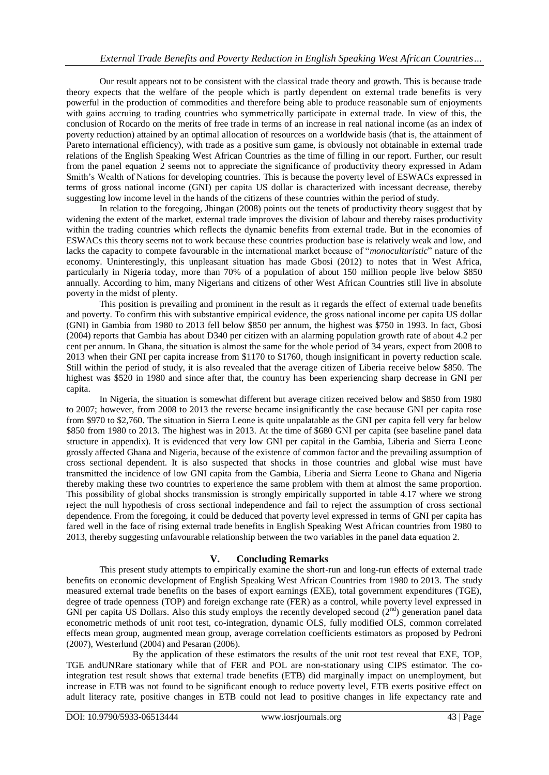Our result appears not to be consistent with the classical trade theory and growth. This is because trade theory expects that the welfare of the people which is partly dependent on external trade benefits is very powerful in the production of commodities and therefore being able to produce reasonable sum of enjoyments with gains accruing to trading countries who symmetrically participate in external trade. In view of this, the conclusion of Rocardo on the merits of free trade in terms of an increase in real national income (as an index of poverty reduction) attained by an optimal allocation of resources on a worldwide basis (that is, the attainment of Pareto international efficiency), with trade as a positive sum game, is obviously not obtainable in external trade relations of the English Speaking West African Countries as the time of filling in our report. Further, our result from the panel equation 2 seems not to appreciate the significance of productivity theory expressed in Adam Smith's Wealth of Nations for developing countries. This is because the poverty level of ESWACs expressed in terms of gross national income (GNI) per capita US dollar is characterized with incessant decrease, thereby suggesting low income level in the hands of the citizens of these countries within the period of study.

In relation to the foregoing, Jhingan (2008) points out the tenets of productivity theory suggest that by widening the extent of the market, external trade improves the division of labour and thereby raises productivity within the trading countries which reflects the dynamic benefits from external trade. But in the economies of ESWACs this theory seems not to work because these countries production base is relatively weak and low, and lacks the capacity to compete favourable in the international market because of "*monoculturistic*" nature of the economy. Uninterestingly, this unpleasant situation has made Gbosi (2012) to notes that in West Africa, particularly in Nigeria today, more than 70% of a population of about 150 million people live below \$850 annually. According to him, many Nigerians and citizens of other West African Countries still live in absolute poverty in the midst of plenty.

This position is prevailing and prominent in the result as it regards the effect of external trade benefits and poverty. To confirm this with substantive empirical evidence, the gross national income per capita US dollar (GNI) in Gambia from 1980 to 2013 fell below \$850 per annum, the highest was \$750 in 1993. In fact, Gbosi (2004) reports that Gambia has about D340 per citizen with an alarming population growth rate of about 4.2 per cent per annum. In Ghana, the situation is almost the same for the whole period of 34 years, expect from 2008 to 2013 when their GNI per capita increase from \$1170 to \$1760, though insignificant in poverty reduction scale. Still within the period of study, it is also revealed that the average citizen of Liberia receive below \$850. The highest was \$520 in 1980 and since after that, the country has been experiencing sharp decrease in GNI per capita.

In Nigeria, the situation is somewhat different but average citizen received below and \$850 from 1980 to 2007; however, from 2008 to 2013 the reverse became insignificantly the case because GNI per capita rose from \$970 to \$2,760. The situation in Sierra Leone is quite unpalatable as the GNI per capita fell very far below \$850 from 1980 to 2013. The highest was in 2013. At the time of \$680 GNI per capita (see baseline panel data structure in appendix). It is evidenced that very low GNI per capital in the Gambia, Liberia and Sierra Leone grossly affected Ghana and Nigeria, because of the existence of common factor and the prevailing assumption of cross sectional dependent. It is also suspected that shocks in those countries and global wise must have transmitted the incidence of low GNI capita from the Gambia, Liberia and Sierra Leone to Ghana and Nigeria thereby making these two countries to experience the same problem with them at almost the same proportion. This possibility of global shocks transmission is strongly empirically supported in table 4.17 where we strong reject the null hypothesis of cross sectional independence and fail to reject the assumption of cross sectional dependence. From the foregoing, it could be deduced that poverty level expressed in terms of GNI per capita has fared well in the face of rising external trade benefits in English Speaking West African countries from 1980 to 2013, thereby suggesting unfavourable relationship between the two variables in the panel data equation 2.

## **V. Concluding Remarks**

This present study attempts to empirically examine the short-run and long-run effects of external trade benefits on economic development of English Speaking West African Countries from 1980 to 2013. The study measured external trade benefits on the bases of export earnings (EXE), total government expenditures (TGE), degree of trade openness (TOP) and foreign exchange rate (FER) as a control, while poverty level expressed in GNI per capita US Dollars. Also this study employs the recently developed second  $(2^{nd})$  generation panel data econometric methods of unit root test, co-integration, dynamic OLS, fully modified OLS, common correlated effects mean group, augmented mean group, average correlation coefficients estimators as proposed by Pedroni (2007), Westerlund (2004) and Pesaran (2006).

By the application of these estimators the results of the unit root test reveal that EXE, TOP, TGE andUNRare stationary while that of FER and POL are non-stationary using CIPS estimator. The cointegration test result shows that external trade benefits (ETB) did marginally impact on unemployment, but increase in ETB was not found to be significant enough to reduce poverty level, ETB exerts positive effect on adult literacy rate, positive changes in ETB could not lead to positive changes in life expectancy rate and